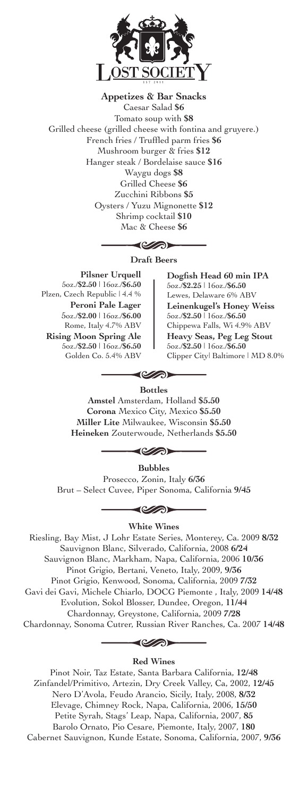

**Appetizes & Bar Snacks** Caesar Salad **\$6** Tomato soup with **\$8** Grilled cheese (grilled cheese with fontina and gruyere.) French fries / Truffled parm fries **\$6** Mushroom burger & fries **\$12** Hanger steak / Bordelaise sauce **\$16** Waygu dogs **\$8** Grilled Cheese **\$6** Zucchini Ribbons **\$5** Oysters / Yuzu Mignonette **\$12** Shrimp cocktail **\$10** Mac & Cheese **\$6**

#### </u>

**Draft Beers**

**Pilsner Urquell** 5oz./**\$2.50** | 16oz./**\$6.50** Plzen, Czech Republic | 4.4 % **Peroni Pale Lager** 5oz./**\$2.00** | 16oz./**\$6.00** Rome, Italy 4.7% ABV **Rising Moon Spring Ale** 5oz./**\$2.50** | 16oz./**\$6.50** Golden Co. 5.4% ABV

**Dogfish Head 60 min IPA** 5oz./**\$2.25** | 16oz./**\$6.50** Lewes, Delaware 6% ABV **Leinenkugel's Honey Weiss** 5oz./**\$2.50** | 16oz./**\$6.50** Chippewa Falls, Wi 4.9% ABV **Heavy Seas, Peg Leg Stout** 5oz./**\$2.50** | 16oz./**\$6.50** Clipper City| Baltimore | MD 8.0%

#### $\Longleftrightarrow$ **Bottles**

**Amstel** Amsterdam, Holland **\$5.50 Corona** Mexico City, Mexico **\$5.50 Miller Lite** Milwaukee, Wisconsin **\$5.50 Heineken** Zouterwoude, Netherlands **\$5.50**

◀ৈ

**Bubbles**

Prosecco, Zonin, Italy **6/36** Brut – Select Cuvee, Piper Sonoma, California **9/45**

**White Wines**

Riesling, Bay Mist, J Lohr Estate Series, Monterey, Ca. 2009 **8/32** Sauvignon Blanc, Silverado, California, 2008 **6/24** Sauvignon Blanc, Markham, Napa, California, 2006 **10/36** Pinot Grigio, Bertani, Veneto, Italy, 2009, **9/36** Pinot Grigio, Kenwood, Sonoma, California, 2009 **7/32** Gavi dei Gavi, Michele Chiarlo, DOCG Piemonte , Italy, 2009 **14/48** Evolution, Sokol Blosser, Dundee, Oregon, **11/44** Chardonnay, Greystone, California, 2009 **7/28** Chardonnay, Sonoma Cutrer, Russian River Ranches, Ca. 2007 **14/48**

◀ৈ

**Red Wines**

Pinot Noir, Taz Estate, Santa Barbara California, **12/48** Zinfandel/Primitivo, Artezin, Dry Creek Valley, Ca, 2002, **12/45** Nero D'Avola, Feudo Arancio, Sicily, Italy, 2008, **8/32** Elevage, Chimney Rock, Napa, California, 2006, **15/50** Petite Syrah, Stags' Leap, Napa, California, 2007, **85** Barolo Ornato, Pio Cesare, Piemonte, Italy, 2007, **180** Cabernet Sauvignon, Kunde Estate, Sonoma, California, 2007, **9/36**